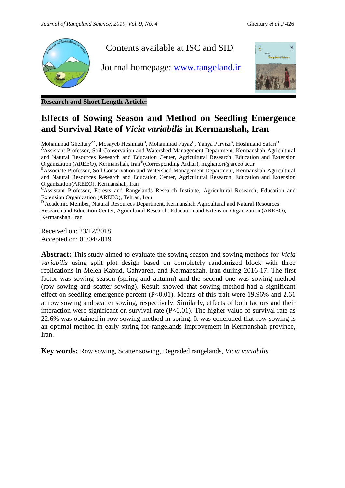

**Research and Short Length Article:**

## **Effects of Sowing Season and Method on Seedling Emergence and Survival Rate of** *Vicia variabilis* **in Kermanshah, Iran**

Mohammad Gheitury $^{\rm A*}$ , Mosayeb Heshmati $^{\rm B}$ , Mohammad Fayaz $^{\rm C}$ , Yahya Parvizi $^{\rm B}$ , Hoshmand Safari $^{\rm D}$ <sup>A</sup>Assistant Professor, Soil Conservation and Watershed Management Department, Kermanshah Agricultural and Natural Resources Research and Education Center, Agricultural Research, Education and Extension Organization (AREEO), Kermanshah, Iran ⃰ (Corresponding Arthur)[, m.ghaitori@areeo.ac.ir](mailto:m.ghaitori@areeo.ac.ir)

BAssociate Professor, Soil Conservation and Watershed Management Department, Kermanshah Agricultural and Natural Resources Research and Education Center, Agricultural Research, Education and Extension Organization(AREEO), Kermanshah, Iran

<sup>C</sup>Assistant Professor, Forests and Rangelands Research Institute, Agricultural Research, Education and Extension Organization (AREEO), Tehran, Iran

<sup>D</sup> Academic Member, Natural Resources Department, Kermanshah Agricultural and Natural Resources Research and Education Center, Agricultural Research, Education and Extension Organization (AREEO), Kermanshah, Iran

Received on: 23/12/2018 Accepted on: 01/04/2019

**Abstract:** This study aimed to evaluate the sowing season and sowing methods for *Vicia variabilis* using split plot design based on completely randomized block with three replications in Meleh-Kabud, Gahvareh, and Kermanshah, Iran during 2016-17. The first factor was sowing season (spring and autumn) and the second one was sowing method (row sowing and scatter sowing). Result showed that sowing method had a significant effect on seedling emergence percent  $(P<0.01)$ . Means of this trait were 19.96% and 2.61 at row sowing and scatter sowing, respectively. Similarly, effects of both factors and their interaction were significant on survival rate  $(P<0.01)$ . The higher value of survival rate as 22.6% was obtained in row sowing method in spring. It was concluded that row sowing is an optimal method in early spring for rangelands improvement in Kermanshah province, Iran.

**Key words:** Row sowing, Scatter sowing, Degraded rangelands, *Vicia variabilis*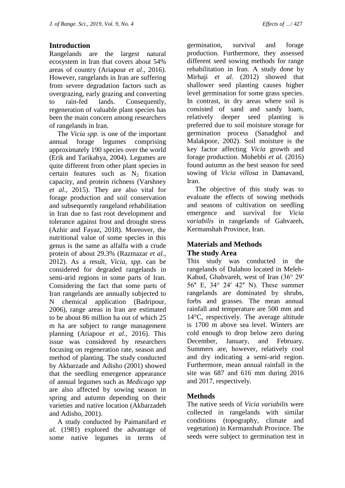### **Introduction**

Rangelands are the largest natural ecosystem in Iran that covers about 54% areas of country (Ariapour *et al*., 2016). However, rangelands in Iran are suffering from severe degradation factors such as overgrazing, early grazing and converting to rain-fed lands. Consequently, regeneration of valuable plant species has been the main concern among researchers of rangelands in Iran.

The *Vicia spp.* is one of the important annual forage legumes comprising approximately 190 species over the world (Erik and Tarikahya, 2004). Legumes are quite different from other plant species in certain features such as  $N_2$  fixation capacity, and protein richness (Varshney *et al.,* 2015). They are also vital for forage production and soil conservation and subsequently rangeland rehabilitation in Iran due to fast root development and tolerance against frost and drought stress (Azhir and Fayaz, 2018). Moreover, the nutritional value of some species in this genus is the same as alfalfa with a crude protein of about 29.3% (Razmazar *et al.,* 2012). As a result, *Vicia, spp.* can be considered for degraded rangelands in semi-arid regions in some parts of Iran. Considering the fact that some parts of Iran rangelands are annually subjected to N chemical application (Badripour, 2006), range areas in Iran are estimated to be about 86 million ha out of which 25 m ha are subject to range management planning (Ariapour *et al.,* 2016). This issue was considered by researchers focusing on regeneration rate, season and method of planting. The study conducted by Akbarzade and Adisho (2001) showed that the seedling emergence appearance of annual legumes such as *Medicago spp* are also affected by sowing season in spring and autumn depending on their varieties and native location (Akbarzadeh and Adisho, 2001).

A study conducted by Paimanifard *et al.* (1981) explored the advantage of some native legumes in terms of

germination, survival and forage production. Furthermore, they assessed different seed sowing methods for range rehabilitation in Iran. A study done by Mirhaji *et al.* (2012) showed that shallower seed planting causes higher level germination for some grass species. In contrast, in dry areas where soil is consisted of sand and sandy loam, relatively deeper seed planting is preferred due to soil moisture storage for germination process (Sanadghol and Malakpoor, 2002). Soil moisture is the key factor affecting *Vicia* growth and forage production. Mohebbi *et al.* (2016) found autumn as the best season for seed sowing of *Vicia villosa* in Damavand, Iran.

The objective of this study was to evaluate the effects of sowing methods and seasons of cultivation on seedling emergence and survival for *Vicia variabilis* in rangelands of Gahvareh, Kermanshah Province, Iran.

### **Materials and Methods The study Area**

This study was conducted in the rangelands of Dalahoo located in Meleh-Kabud, Ghahvareh, west of Iran (36° 29ʹ 56ʺ E, 34° 24ʹ 42ʺ N). These summer rangelands are dominated by shrubs, forbs and grasses. The mean annual rainfall and temperature are 500 mm and 14°C, respectively. The average altitude is 1700 m above sea level. Winters are cold enough to drop below zero during December, January, and February. Summers are, however, relatively cool and dry indicating a semi-arid region. Furthermore, mean annual rainfall in the site was 687 and 616 mm during 2016 and 2017, respectively.

#### **Methods**

The native seeds of *Vicia variabilis* were collected in rangelands with similar conditions (topography, climate and vegetation) in Kermanshah Province. The seeds were subject to germination test in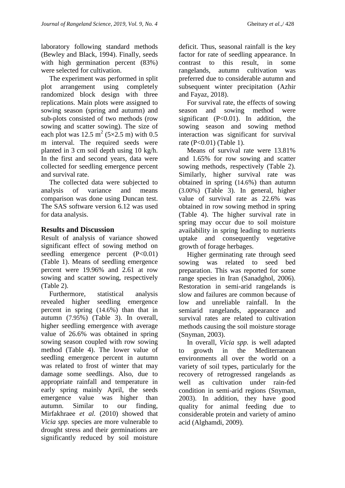laboratory following standard methods (Bewley and Black, 1994). Finally, seeds with high germination percent (83%) were selected for cultivation.

The experiment was performed in split plot arrangement using completely randomized block design with three replications. Main plots were assigned to sowing season (spring and autumn) and sub-plots consisted of two methods (row sowing and scatter sowing). The size of each plot was  $12.5 \text{ m}^2$  (5×2.5 m) with 0.5 m interval. The required seeds were planted in 3 cm soil depth using 10 kg/h. In the first and second years, data were collected for seedling emergence percent and survival rate.

The collected data were subjected to analysis of variance and means comparison was done using Duncan test. The SAS software version 6.12 was used for data analysis.

#### **Results and Discussion**

Result of analysis of variance showed significant effect of sowing method on seedling emergence percent (P<0.01) (Table 1). Means of seedling emergence percent were 19.96% and 2.61 at row sowing and scatter sowing, respectively (Table 2).

Furthermore, statistical analysis revealed higher seedling emergence percent in spring (14.6%) than that in autumn (7.95%) (Table 3). In overall, higher seedling emergence with average value of 26.6% was obtained in spring sowing season coupled with row sowing method (Table 4). The lower value of seedling emergence percent in autumn was related to frost of winter that may damage some seedlings. Also, due to appropriate rainfall and temperature in early spring mainly April, the seeds emergence value was higher than autumn. Similar to our finding, Mirfakhraee *et al.* (2010) showed that *Vicia spp.* species are more vulnerable to drought stress and their germinations are significantly reduced by soil moisture

deficit. Thus, seasonal rainfall is the key factor for rate of seedling appearance. In contrast to this result, in some rangelands, autumn cultivation was preferred due to considerable autumn and subsequent winter precipitation (Azhir and Fayaz, 2018).

For survival rate, the effects of sowing season and sowing method were significant  $(P<0.01)$ . In addition, the sowing season and sowing method interaction was significant for survival rate (P<0.01) (Table 1).

Means of survival rate were 13.81% and 1.65% for row sowing and scatter sowing methods, respectively (Table 2). Similarly, higher survival rate was obtained in spring (14.6%) than autumn (3.00%) (Table 3). In general, higher value of survival rate as 22.6% was obtained in row sowing method in spring (Table 4). The higher survival rate in spring may occur due to soil moisture availability in spring leading to nutrients uptake and consequently vegetative growth of forage herbages.

Higher germinating rate through seed sowing was related to seed bed preparation. This was reported for some range species in Iran (Sanadghol, 2006). Restoration in semi-arid rangelands is slow and failures are common because of low and unreliable rainfall. In the semiarid rangelands, appearance and survival rates are related to cultivation methods causing the soil moisture storage (Snyman, 2003).

In overall, *Vicia spp.* is well adapted to growth in the Mediterranean environments all over the world on a variety of soil types, particularly for the recovery of retrogressed rangelands as well as cultivation under rain-fed condition in semi-arid regions (Snyman, 2003). In addition, they have good quality for animal feeding due to considerable protein and variety of amino acid (Alghamdi, 2009).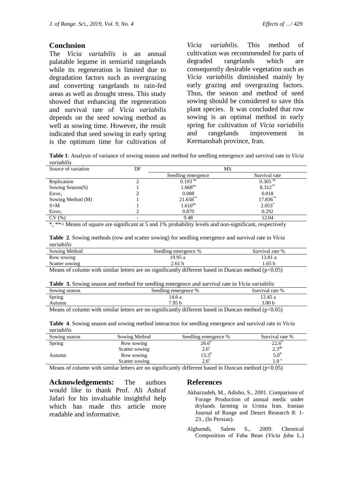#### **Conclusion**

The *Vicia variabilis* is an annual palatable legume in semiarid rangelands while its regeneration is limited due to degradation factors such as overgrazing and converting rangelands to rain-fed areas as well as drought stress. This study showed that enhancing the regeneration and survival rate of *Vicia variabilis* depends on the seed sowing method as well as sowing time. However, the result indicated that seed sowing in early spring is the optimum time for cultivation of

*Vicia variabilis*. This method of cultivation was recommended for parts of degraded rangelands which are consequently desirable vegetation such as *Vicia variabilis* diminished mainly by early grazing and overgrazing factors. Thus, the season and method of seed sowing should be considered to save this plant species. It was concluded that row sowing is an optimal method in early spring for cultivation of *Vicia variabilis* and rangelands improvement in Kermanshah province, Iran.

**Table 1**: Analysis of variance of sowing season and method for seedling emergence and survival rate in *Vicia variabilis*

| Source of variation | DF | MS                    |                       |
|---------------------|----|-----------------------|-----------------------|
|                     |    | Seedling emergence    | Survival rate         |
| Replication         |    | $0.193$ <sup>ns</sup> | $0.305$ <sup>ns</sup> |
| Sowing Season(S)    |    | 1.668 <sup>ns</sup>   | 8.312**               |
| Error <sub>1</sub>  |    | 0.088                 | 0.018                 |
| Sowing Method (M)   |    | 21.658**              | $17.836**$            |
| $S \times M$        |    | $1.610^{ns}$          | $2.053*$              |
| Error <sub>2</sub>  |    | 0.870                 | 0.292                 |
| CV(%)               |    | 9.48                  | 12.04                 |

\*, \*\*= Means of square are significant at 5 and 1% probability levels and non-significant, respectively

| Table 2. Sowing methods (row and scatter sowing) for seedling emergence and survival rate in Vicia |  |
|----------------------------------------------------------------------------------------------------|--|
| variabilis                                                                                         |  |

| Sowing Method  | Seedling emergence % | Survival rate % |
|----------------|----------------------|-----------------|
| Row sowing     | 19.95 a              | .3.81 a         |
| Scatter sowing | 2.61 b               | 65 b            |
|                |                      |                 |

Means of column with similar letters are no significantly different based in Duncan method ( $p<0.05$ )

| <b>Table 3.</b> Sowing season and method for seedling emergence and survival rate in <i>Vicia variabilis</i> |
|--------------------------------------------------------------------------------------------------------------|
|--------------------------------------------------------------------------------------------------------------|

| Sowing season    | Seedling emergence %                       | Survival rate %   |
|------------------|--------------------------------------------|-------------------|
| Spring           | 14.6 a                                     | 12.45a            |
| Autumn           | 7.95 <sub>b</sub>                          | 3.00 <sub>b</sub> |
| .<br>$\sim$<br>. | $\sim$ $\sim$<br>$\sim$ $\sim$ $\sim$<br>. | .                 |

Means of column with similar letters are no significantly different based in Duncan method ( $p<0.05$ )

**Table 4**. Sowing season and sowing method interaction for seedling emergence and survival rate in *Vicia variabilis*

| Sowing season    | Sowing Method                                                                                                                                                                                                                                | Seedling emergence %                                | Survival rate %                                     |
|------------------|----------------------------------------------------------------------------------------------------------------------------------------------------------------------------------------------------------------------------------------------|-----------------------------------------------------|-----------------------------------------------------|
| Spring           | Row sowing                                                                                                                                                                                                                                   | $26.6^{\circ}$                                      | $22.6^{\circ}$                                      |
|                  | Scatter sowing                                                                                                                                                                                                                               | $2.6^\circ$                                         | $2.3^{ab}$                                          |
| Autumn           | Row sowing                                                                                                                                                                                                                                   | $13.3^{b}$                                          | 5.0 <sup>b</sup>                                    |
|                  | Scatter sowing                                                                                                                                                                                                                               | $2.6^\circ$                                         | 1.0 <sup>c</sup>                                    |
| $\sim$<br>$\sim$ | $\sim$<br>$\bullet$ . The second contract of the second contract of the second contract of the second contract of the second contract of the second contract of the second contract of the second contract of the second contract of the sec | $\sim$ $\sim$ $\sim$<br>$\sim$ $\sim$ $\sim$ $\sim$ | $\mathbf{A}$ $\mathbf{A}$ $\mathbf{A}$ $\mathbf{A}$ |

Means of column with similar letters are no significantly different based in Duncan method ( $p<0.05$ )

**Acknowledgements:** The authors would like to thank [Prof. Ali Ashraf](http://www.rangeland.ir/journal/editorial.board#edb2)  [Jafari](http://www.rangeland.ir/journal/editorial.board#edb2) for his invaluable insightful help which has made this article more readable and informative.

#### **References**

- Akbarzadeh, M., Adisho, S., 2001. Comparison of Forage Production of annual medic under drylands farming in Urmia Iran. Iranian Journal of Range and Desert Research 8: 1- 23., (In Persian).
- Alghamdi, Salem S., 2009. Chemical Composition of Faba Bean (*Vicia faba* L.)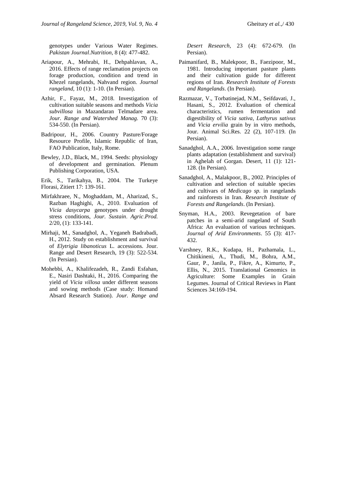genotypes under Various Water Regimes. *Pakistan Journal*.*Nutrition,* 8 (4): 477-482.

- Ariapour, A., Mehrabi, H., Dehpahlavan, A., 2016. Effects of range reclamation projects on forage production, condition and trend in Khezel rangelands, Nahvand region. *Journal rangeland,* 10 (1): 1-10. (In Persian).
- Azhir, F., Fayaz, M., 2018. Investigation of cultivation suitable seasons and methods *Vicia subvillosa* in Mazandaran Telmadare area. *Jour. Range and Watershed Manag.* 70 (3): 534-550. (In Persian).
- Badripour, H., 2006. Country Pasture/Forage Resource Profile, Islamic Republic of Iran, FAO Publication, Italy, Rome.
- Bewley, J.D., Black, M., 1994. Seeds: physiology of development and germination. Plenum Publishing Corporation, USA.

Erik, S., Tarikahya, B., 2004. The Turkeye Florasi, Zitiert 17: 139-161.

- Mirfakhraee, N., Moghaddam, M., Aharizad, S., Razban Haghighi, A., 2010. Evaluation of *Vicia dasycarpa* genotypes under drought stress conditions, *Jour. Sustain*. *Agric*.*Prod.* 2/20, (1): 133-141.
- Mirhaji, M., Sanadghol, A., Yeganeh Badrabadi, H., 2012. Study on establishment and survival of *Elytrigia libanoticus* L. accessions. Jour. Range and Desert Research, 19 (3): 522-534. (In Persian).
- Mohebbi, A., Khalifezadeh, R., Zandi Esfahan, E., Nasiri Dashtaki, H., 2016. Comparing the yield of *Vicia villosa* under different seasons and sowing methods (Case study: Homand Absard Research Station). *Jour. Range and*

*Desert Research,* 23 (4): 672-679. (In Persian).

- Paimanifard, B., Malekpoor, B., Faezipoor, M., 1981. Introducing important pasture plants and their cultivation guide for different regions of Iran*. Research Institute of Forests and Rangelands*. (In Persian).
- Razmazar, V., Torbatinejad, N.M., Seifdavati, J., Hasani, S., 2012. Evaluation of chemical characteristics, rumen fermentation and digestibility of *Vicia sativa*, *Lathyrus sativus* and *Vicia ervilia* grain by in vitro methods, Jour. Animal Sci.Res. 22 (2), 107-119. (In Persian).
- Sanadghol, A.A., 2006. Investigation some range plants adaptation (establishment and survival) in Aghelah of Gorgan. Desert, 11 (1): 121- 128. (In Persian).
- Sanadghol, A., Malakpoor, B., 2002. Principles of cultivation and selection of suitable species and cultivars of *Medicago sp.* in rangelands and rainforests in Iran. *Research Institute of Forests and Rangelands*. (In Persian).
- Snyman, H.A., 2003. Revegetation of bare patches in a semi-arid rangeland of South Africa: An evaluation of various techniques*. Journal of Arid Environments*. 55 (3): 417- 432.
- Varshney, R.K., Kudapa, H., Pazhamala, L., Chitikineni, A., Thudi, M., Bohra, A.M., Gaur, P., Janila, P., Fikre, A., Kimurto, P., Ellis, N., 2015. Translational Genomics in Agriculture: Some Examples in Grain Legumes. Journal of [Critical Reviews in Plant](https://www.tandfonline.com/toc/bpts20/current)  [Sciences 3](https://www.tandfonline.com/toc/bpts20/current)4:169-194.